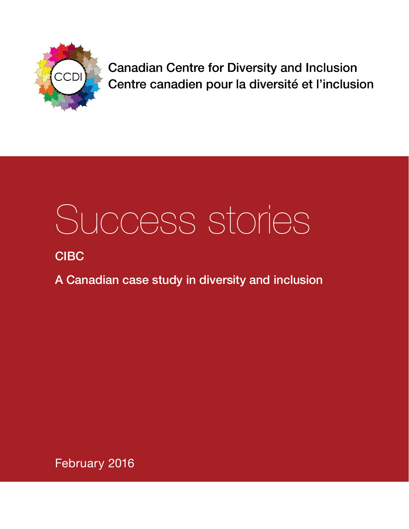

**Canadian Centre for Diversity and Inclusion** Centre canadien pour la diversité et l'inclusion

# Success stories

# **CIBC**

A Canadian case study in diversity and inclusion

February 2016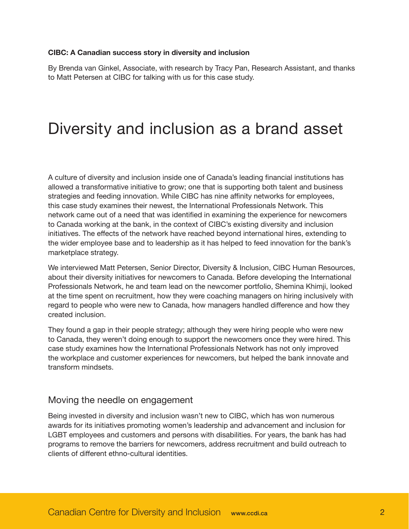#### **CIBC: A Canadian success story in diversity and inclusion**

By Brenda van Ginkel, Associate, with research by Tracy Pan, Research Assistant, and thanks to Matt Petersen at CIBC for talking with us for this case study.

# Diversity and inclusion as a brand asset

A culture of diversity and inclusion inside one of Canada's leading financial institutions has allowed a transformative initiative to grow; one that is supporting both talent and business strategies and feeding innovation. While CIBC has nine affinity networks for employees, this case study examines their newest, the International Professionals Network. This network came out of a need that was identified in examining the experience for newcomers to Canada working at the bank, in the context of CIBC's existing diversity and inclusion initiatives. The effects of the network have reached beyond international hires, extending to the wider employee base and to leadership as it has helped to feed innovation for the bank's marketplace strategy.

We interviewed Matt Petersen, Senior Director, Diversity & Inclusion, CIBC Human Resources, about their diversity initiatives for newcomers to Canada. Before developing the International Professionals Network, he and team lead on the newcomer portfolio, Shemina Khimji, looked at the time spent on recruitment, how they were coaching managers on hiring inclusively with regard to people who were new to Canada, how managers handled difference and how they created inclusion.

They found a gap in their people strategy; although they were hiring people who were new to Canada, they weren't doing enough to support the newcomers once they were hired. This case study examines how the International Professionals Network has not only improved the workplace and customer experiences for newcomers, but helped the bank innovate and transform mindsets.

## Moving the needle on engagement

Being invested in diversity and inclusion wasn't new to CIBC, which has won numerous awards for its initiatives promoting women's leadership and advancement and inclusion for LGBT employees and customers and persons with disabilities. For years, the bank has had programs to remove the barriers for newcomers, address recruitment and build outreach to clients of different ethno-cultural identities.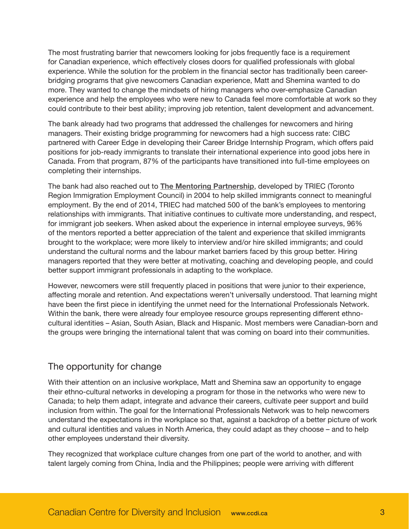The most frustrating barrier that newcomers looking for jobs frequently face is a requirement for Canadian experience, which effectively closes doors for qualified professionals with global experience. While the solution for the problem in the financial sector has traditionally been careerbridging programs that give newcomers Canadian experience, Matt and Shemina wanted to do more. They wanted to change the mindsets of hiring managers who over-emphasize Canadian experience and help the employees who were new to Canada feel more comfortable at work so they could contribute to their best ability; improving job retention, talent development and advancement.

The bank already had two programs that addressed the challenges for newcomers and hiring managers. Their existing bridge programming for newcomers had a high success rate: CIBC partnered with Career Edge in developing their Career Bridge Internship Program, which offers paid positions for job-ready immigrants to translate their international experience into good jobs here in Canada. From that program, 87% of the participants have transitioned into full-time employees on completing their internships.

The bank had also reached out to **[The Mentoring Partnership](http://triec.ca/our-initiatives/mentoring-2/)**, developed by TRIEC (Toronto Region Immigration Employment Council) in 2004 to help skilled immigrants connect to meaningful employment. By the end of 2014, TRIEC had matched 500 of the bank's employees to mentoring relationships with immigrants. That initiative continues to cultivate more understanding, and respect, for immigrant job seekers. When asked about the experience in internal employee surveys, 96% of the mentors reported a better appreciation of the talent and experience that skilled immigrants brought to the workplace; were more likely to interview and/or hire skilled immigrants; and could understand the cultural norms and the labour market barriers faced by this group better. Hiring managers reported that they were better at motivating, coaching and developing people, and could better support immigrant professionals in adapting to the workplace.

However, newcomers were still frequently placed in positions that were junior to their experience, affecting morale and retention. And expectations weren't universally understood. That learning might have been the first piece in identifying the unmet need for the International Professionals Network. Within the bank, there were already four employee resource groups representing different ethnocultural identities – Asian, South Asian, Black and Hispanic. Most members were Canadian-born and the groups were bringing the international talent that was coming on board into their communities.

# The opportunity for change

With their attention on an inclusive workplace, Matt and Shemina saw an opportunity to engage their ethno-cultural networks in developing a program for those in the networks who were new to Canada; to help them adapt, integrate and advance their careers, cultivate peer support and build inclusion from within. The goal for the International Professionals Network was to help newcomers understand the expectations in the workplace so that, against a backdrop of a better picture of work and cultural identities and values in North America, they could adapt as they choose – and to help other employees understand their diversity.

They recognized that workplace culture changes from one part of the world to another, and with talent largely coming from China, India and the Philippines; people were arriving with different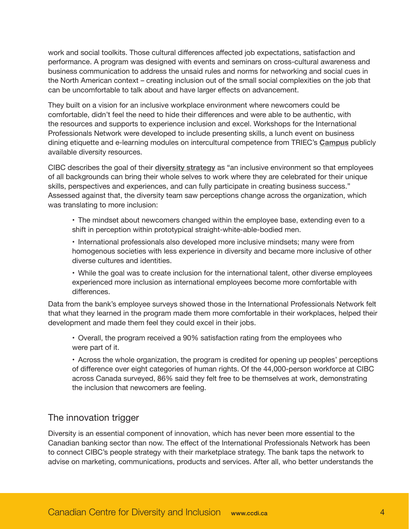work and social toolkits. Those cultural differences affected job expectations, satisfaction and performance. A program was designed with events and seminars on cross-cultural awareness and business communication to address the unsaid rules and norms for networking and social cues in the North American context – creating inclusion out of the small social complexities on the job that can be uncomfortable to talk about and have larger effects on advancement.

They built on a vision for an inclusive workplace environment where newcomers could be comfortable, didn't feel the need to hide their differences and were able to be authentic, with the resources and supports to experience inclusion and excel. Workshops for the International Professionals Network were developed to include presenting skills, a lunch event on business dining etiquette and e-learning modules on intercultural competence from TRIEC's **[Campus](http://triec.ca/our-initiatives/learning-with-campus/)** publicly available diversity resources.

CIBC describes the goal of their **[diversity strategy](http://corporateresponsibilityreport.cibc.com/diversity-and-inclusion.html)** as "an inclusive environment so that employees of all backgrounds can bring their whole selves to work where they are celebrated for their unique skills, perspectives and experiences, and can fully participate in creating business success." Assessed against that, the diversity team saw perceptions change across the organization, which was translating to more inclusion:

• The mindset about newcomers changed within the employee base, extending even to a shift in perception within prototypical straight-white-able-bodied men.

• International professionals also developed more inclusive mindsets; many were from homogenous societies with less experience in diversity and became more inclusive of other diverse cultures and identities.

• While the goal was to create inclusion for the international talent, other diverse employees experienced more inclusion as international employees become more comfortable with differences.

Data from the bank's employee surveys showed those in the International Professionals Network felt that what they learned in the program made them more comfortable in their workplaces, helped their development and made them feel they could excel in their jobs.

• Overall, the program received a 90% satisfaction rating from the employees who were part of it.

• Across the whole organization, the program is credited for opening up peoples' perceptions of difference over eight categories of human rights. Of the 44,000-person workforce at CIBC across Canada surveyed, 86% said they felt free to be themselves at work, demonstrating the inclusion that newcomers are feeling.

# The innovation trigger

Diversity is an essential component of innovation, which has never been more essential to the Canadian banking sector than now. The effect of the International Professionals Network has been to connect CIBC's people strategy with their marketplace strategy. The bank taps the network to advise on marketing, communications, products and services. After all, who better understands the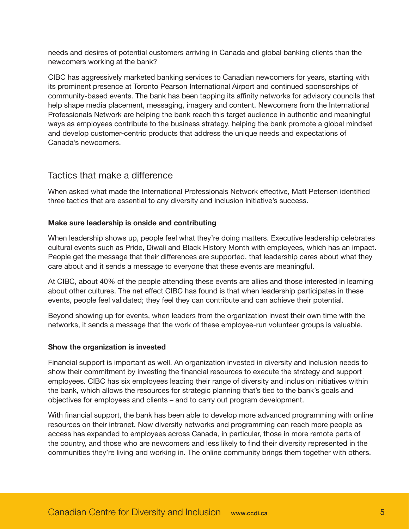needs and desires of potential customers arriving in Canada and global banking clients than the newcomers working at the bank?

CIBC has aggressively marketed banking services to Canadian newcomers for years, starting with its prominent presence at Toronto Pearson International Airport and continued sponsorships of community-based events. The bank has been tapping its affinity networks for advisory councils that help shape media placement, messaging, imagery and content. Newcomers from the International Professionals Network are helping the bank reach this target audience in authentic and meaningful ways as employees contribute to the business strategy, helping the bank promote a global mindset and develop customer-centric products that address the unique needs and expectations of Canada's newcomers.

## Tactics that make a difference

When asked what made the International Professionals Network effective, Matt Petersen identified three tactics that are essential to any diversity and inclusion initiative's success.

#### **Make sure leadership is onside and contributing**

When leadership shows up, people feel what they're doing matters. Executive leadership celebrates cultural events such as Pride, Diwali and Black History Month with employees, which has an impact. People get the message that their differences are supported, that leadership cares about what they care about and it sends a message to everyone that these events are meaningful.

At CIBC, about 40% of the people attending these events are allies and those interested in learning about other cultures. The net effect CIBC has found is that when leadership participates in these events, people feel validated; they feel they can contribute and can achieve their potential.

Beyond showing up for events, when leaders from the organization invest their own time with the networks, it sends a message that the work of these employee-run volunteer groups is valuable.

#### **Show the organization is invested**

Financial support is important as well. An organization invested in diversity and inclusion needs to show their commitment by investing the financial resources to execute the strategy and support employees. CIBC has six employees leading their range of diversity and inclusion initiatives within the bank, which allows the resources for strategic planning that's tied to the bank's goals and objectives for employees and clients – and to carry out program development.

With financial support, the bank has been able to develop more advanced programming with online resources on their intranet. Now diversity networks and programming can reach more people as access has expanded to employees across Canada, in particular, those in more remote parts of the country, and those who are newcomers and less likely to find their diversity represented in the communities they're living and working in. The online community brings them together with others.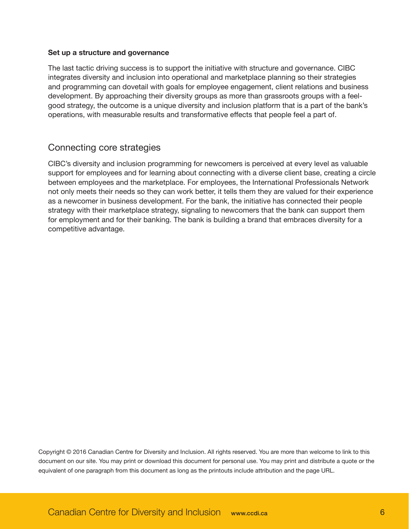#### **Set up a structure and governance**

The last tactic driving success is to support the initiative with structure and governance. CIBC integrates diversity and inclusion into operational and marketplace planning so their strategies and programming can dovetail with goals for employee engagement, client relations and business development. By approaching their diversity groups as more than grassroots groups with a feelgood strategy, the outcome is a unique diversity and inclusion platform that is a part of the bank's operations, with measurable results and transformative effects that people feel a part of.

## Connecting core strategies

CIBC's diversity and inclusion programming for newcomers is perceived at every level as valuable support for employees and for learning about connecting with a diverse client base, creating a circle between employees and the marketplace. For employees, the International Professionals Network not only meets their needs so they can work better, it tells them they are valued for their experience as a newcomer in business development. For the bank, the initiative has connected their people strategy with their marketplace strategy, signaling to newcomers that the bank can support them for employment and for their banking. The bank is building a brand that embraces diversity for a competitive advantage.

Copyright © 2016 Canadian Centre for Diversity and Inclusion. All rights reserved. You are more than welcome to link to this document on our site. You may print or download this document for personal use. You may print and distribute a quote or the equivalent of one paragraph from this document as long as the printouts include attribution and the page URL.